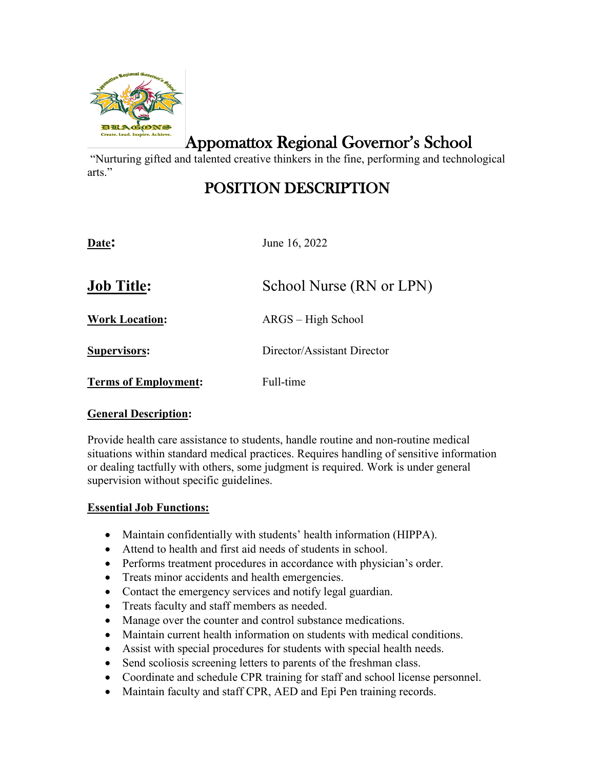

Appomattox Regional Governor's School

 "Nurturing gifted and talented creative thinkers in the fine, performing and technological arts."

# POSITION DESCRIPTION

**Date:** June 16, 2022 **Job Title:** School Nurse (RN or LPN) **Work Location:** ARGS – High School **Supervisors:** Director/Assistant Director **Terms of Employment:** Full-time

## **General Description:**

Provide health care assistance to students, handle routine and non-routine medical situations within standard medical practices. Requires handling of sensitive information or dealing tactfully with others, some judgment is required. Work is under general supervision without specific guidelines.

## **Essential Job Functions:**

- Maintain confidentially with students' health information (HIPPA).
- Attend to health and first aid needs of students in school.
- Performs treatment procedures in accordance with physician's order.
- Treats minor accidents and health emergencies.
- Contact the emergency services and notify legal guardian.
- Treats faculty and staff members as needed.
- Manage over the counter and control substance medications.
- Maintain current health information on students with medical conditions.
- Assist with special procedures for students with special health needs.
- Send scoliosis screening letters to parents of the freshman class.
- Coordinate and schedule CPR training for staff and school license personnel.
- Maintain faculty and staff CPR, AED and Epi Pen training records.